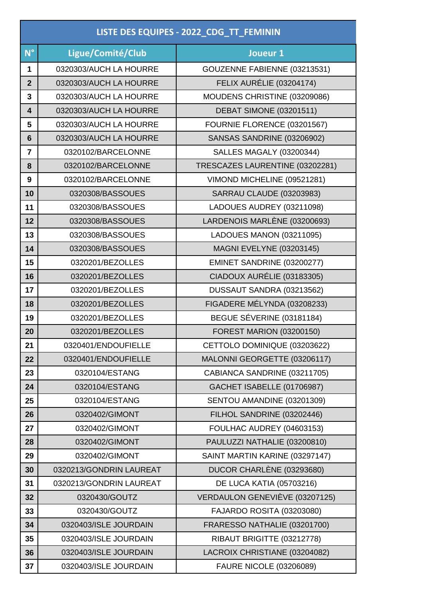| LISTE DES EQUIPES - 2022_CDG_TT_FEMININ |                         |                                  |  |
|-----------------------------------------|-------------------------|----------------------------------|--|
| $N^{\circ}$                             | Ligue/Comité/Club       | Joueur 1                         |  |
| 1                                       | 0320303/AUCH LA HOURRE  | GOUZENNE FABIENNE (03213531)     |  |
| $\overline{2}$                          | 0320303/AUCH LA HOURRE  | FELIX AURÉLIE (03204174)         |  |
| 3                                       | 0320303/AUCH LA HOURRE  | MOUDENS CHRISTINE (03209086)     |  |
| 4                                       | 0320303/AUCH LA HOURRE  | <b>DEBAT SIMONE (03201511)</b>   |  |
| 5                                       | 0320303/AUCH LA HOURRE  | FOURNIE FLORENCE (03201567)      |  |
| 6                                       | 0320303/AUCH LA HOURRE  | SANSAS SANDRINE (03206902)       |  |
| $\overline{7}$                          | 0320102/BARCELONNE      | <b>SALLES MAGALY (03200344)</b>  |  |
| 8                                       | 0320102/BARCELONNE      | TRESCAZES LAURENTINE (03202281)  |  |
| 9                                       | 0320102/BARCELONNE      | VIMOND MICHELINE (09521281)      |  |
| 10                                      | 0320308/BASSOUES        | <b>SARRAU CLAUDE (03203983)</b>  |  |
| 11                                      | 0320308/BASSOUES        | LADOUES AUDREY (03211098)        |  |
| 12                                      | 0320308/BASSOUES        | LARDENOIS MARLÈNE (03200693)     |  |
| 13                                      | 0320308/BASSOUES        | LADOUES MANON (03211095)         |  |
| 14                                      | 0320308/BASSOUES        | <b>MAGNI EVELYNE (03203145)</b>  |  |
| 15                                      | 0320201/BEZOLLES        | EMINET SANDRINE (03200277)       |  |
| 16                                      | 0320201/BEZOLLES        | CIADOUX AURÉLIE (03183305)       |  |
| 17                                      | 0320201/BEZOLLES        | DUSSAUT SANDRA (03213562)        |  |
| 18                                      | 0320201/BEZOLLES        | FIGADERE MÉLYNDA (03208233)      |  |
| 19                                      | 0320201/BEZOLLES        | BEGUE SÉVERINE (03181184)        |  |
| 20                                      | 0320201/BEZOLLES        | <b>FOREST MARION (03200150)</b>  |  |
| 21                                      | 0320401/ENDOUFIELLE     | CETTOLO DOMINIQUE (03203622)     |  |
| 22                                      | 0320401/ENDOUFIELLE     | MALONNI GEORGETTE (03206117)     |  |
| 23                                      | 0320104/ESTANG          | CABIANCA SANDRINE (03211705)     |  |
| 24                                      | 0320104/ESTANG          | GACHET ISABELLE (01706987)       |  |
| 25                                      | 0320104/ESTANG          | SENTOU AMANDINE (03201309)       |  |
| 26                                      | 0320402/GIMONT          | FILHOL SANDRINE (03202446)       |  |
| 27                                      | 0320402/GIMONT          | FOULHAC AUDREY (04603153)        |  |
| 28                                      | 0320402/GIMONT          | PAULUZZI NATHALIE (03200810)     |  |
| 29                                      | 0320402/GIMONT          | SAINT MARTIN KARINE (03297147)   |  |
| 30                                      | 0320213/GONDRIN LAUREAT | DUCOR CHARLÈNE (03293680)        |  |
| 31                                      | 0320213/GONDRIN LAUREAT | <b>DE LUCA KATIA (05703216)</b>  |  |
| 32                                      | 0320430/GOUTZ           | VERDAULON GENEVIÈVE (03207125)   |  |
| 33                                      | 0320430/GOUTZ           | <b>FAJARDO ROSITA (03203080)</b> |  |
| 34                                      | 0320403/ISLE JOURDAIN   | FRARESSO NATHALIE (03201700)     |  |
| 35                                      | 0320403/ISLE JOURDAIN   | RIBAUT BRIGITTE (03212778)       |  |
| 36                                      | 0320403/ISLE JOURDAIN   | LACROIX CHRISTIANE (03204082)    |  |
| 37                                      | 0320403/ISLE JOURDAIN   | <b>FAURE NICOLE (03206089)</b>   |  |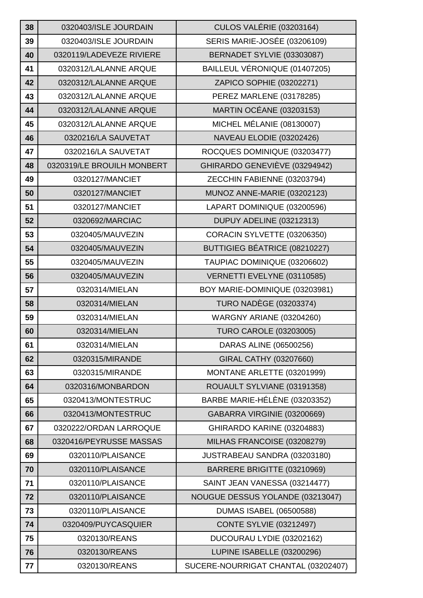| 38 | 0320403/ISLE JOURDAIN      | <b>CULOS VALÉRIE (03203164)</b>     |
|----|----------------------------|-------------------------------------|
| 39 | 0320403/ISLE JOURDAIN      | <b>SERIS MARIE-JOSÉE (03206109)</b> |
| 40 | 0320119/LADEVEZE RIVIERE   | BERNADET SYLVIE (03303087)          |
| 41 | 0320312/LALANNE ARQUE      | BAILLEUL VÉRONIQUE (01407205)       |
| 42 | 0320312/LALANNE ARQUE      | ZAPICO SOPHIE (03202271)            |
| 43 | 0320312/LALANNE ARQUE      | PEREZ MARLENE (03178285)            |
| 44 | 0320312/LALANNE ARQUE      | MARTIN OCÉANE (03203153)            |
| 45 | 0320312/LALANNE ARQUE      | MICHEL MÉLANIE (08130007)           |
| 46 | 0320216/LA SAUVETAT        | NAVEAU ELODIE (03202426)            |
| 47 | 0320216/LA SAUVETAT        | ROCQUES DOMINIQUE (03203477)        |
| 48 | 0320319/LE BROUILH MONBERT | GHIRARDO GENEVIÈVE (03294942)       |
| 49 | 0320127/MANCIET            | ZECCHIN FABIENNE (03203794)         |
| 50 | 0320127/MANCIET            | MUNOZ ANNE-MARIE (03202123)         |
| 51 | 0320127/MANCIET            | LAPART DOMINIQUE (03200596)         |
| 52 | 0320692/MARCIAC            | DUPUY ADELINE (03212313)            |
| 53 | 0320405/MAUVEZIN           | CORACIN SYLVETTE (03206350)         |
| 54 | 0320405/MAUVEZIN           | BUTTIGIEG BÉATRICE (08210227)       |
| 55 | 0320405/MAUVEZIN           | TAUPIAC DOMINIQUE (03206602)        |
| 56 | 0320405/MAUVEZIN           | VERNETTI EVELYNE (03110585)         |
| 57 | 0320314/MIELAN             | BOY MARIE-DOMINIQUE (03203981)      |
| 58 | 0320314/MIELAN             | <b>TURO NADÈGE (03203374)</b>       |
| 59 | 0320314/MIELAN             | WARGNY ARIANE (03204260)            |
| 60 | 0320314/MIELAN             | <b>TURO CAROLE (03203005)</b>       |
| 61 | 0320314/MIELAN             | DARAS ALINE (06500256)              |
| 62 | 0320315/MIRANDE            | GIRAL CATHY (03207660)              |
| 63 | 0320315/MIRANDE            | MONTANE ARLETTE (03201999)          |
| 64 | 0320316/MONBARDON          | ROUAULT SYLVIANE (03191358)         |
| 65 | 0320413/MONTESTRUC         | BARBE MARIE-HÉLÈNE (03203352)       |
| 66 | 0320413/MONTESTRUC         | GABARRA VIRGINIE (03200669)         |
| 67 | 0320222/ORDAN LARROQUE     | GHIRARDO KARINE (03204883)          |
| 68 | 0320416/PEYRUSSE MASSAS    | MILHAS FRANCOISE (03208279)         |
| 69 | 0320110/PLAISANCE          | JUSTRABEAU SANDRA (03203180)        |
| 70 | 0320110/PLAISANCE          | BARRERE BRIGITTE (03210969)         |
| 71 | 0320110/PLAISANCE          | SAINT JEAN VANESSA (03214477)       |
| 72 | 0320110/PLAISANCE          | NOUGUE DESSUS YOLANDE (03213047)    |
| 73 | 0320110/PLAISANCE          | <b>DUMAS ISABEL (06500588)</b>      |
| 74 | 0320409/PUYCASQUIER        | <b>CONTE SYLVIE (03212497)</b>      |
| 75 | 0320130/REANS              | DUCOURAU LYDIE (03202162)           |
| 76 | 0320130/REANS              | LUPINE ISABELLE (03200296)          |
| 77 | 0320130/REANS              | SUCERE-NOURRIGAT CHANTAL (03202407) |